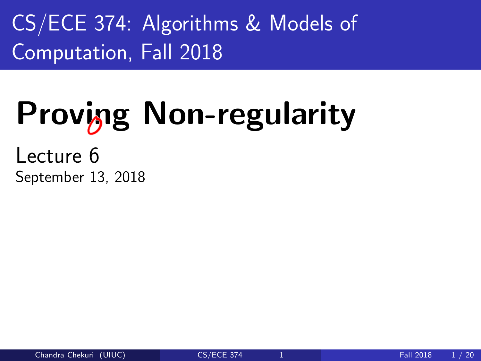<span id="page-0-0"></span>CS/ECE 374: Algorithms & Models of Computation, Fall 2018

# Proving Non-regularity

Lecture 6 September 13, 2018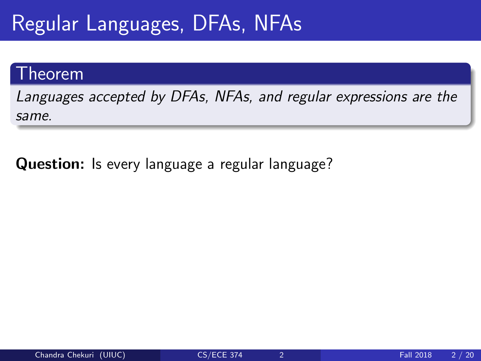#### Theorem

Languages accepted by DFAs, NFAs, and regular expressions are the same.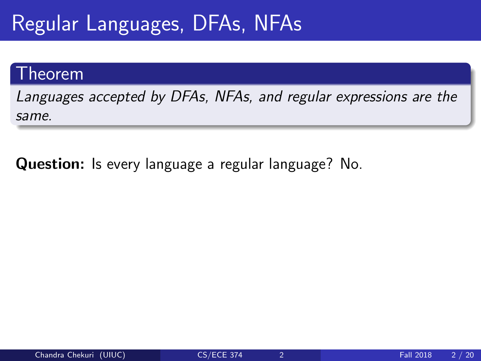#### Theorem

Languages accepted by DFAs, NFAs, and regular expressions are the same.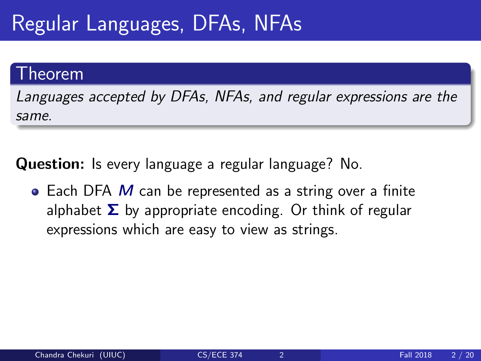#### Theorem

Languages accepted by DFAs, NFAs, and regular expressions are the same.

Question: Is every language a regular language? No.

 $\bullet$  Each DFA M can be represented as a string over a finite alphabet  $\Sigma$  by appropriate encoding. Or think of regular expressions which are easy to view as strings.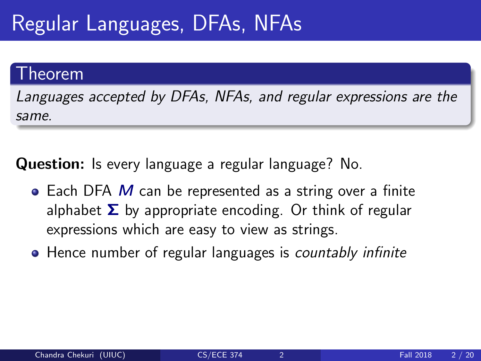#### Theorem

Languages accepted by DFAs, NFAs, and regular expressions are the same.

- $\bullet$  Each DFA M can be represented as a string over a finite alphabet  $\Sigma$  by appropriate encoding. Or think of regular expressions which are easy to view as strings.
- Hence number of regular languages is countably infinite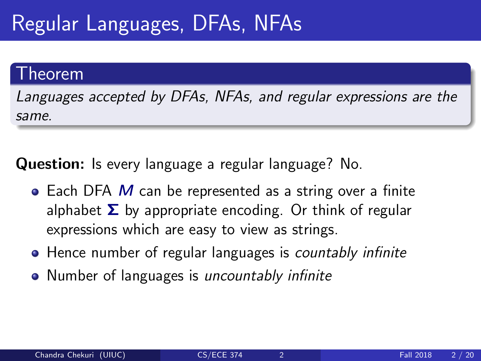#### Theorem

Languages accepted by DFAs, NFAs, and regular expressions are the same.

- $\bullet$  Each DFA M can be represented as a string over a finite alphabet  $\Sigma$  by appropriate encoding. Or think of regular expressions which are easy to view as strings.
- Hence number of regular languages is countably infinite
- Number of languages is uncountably infinite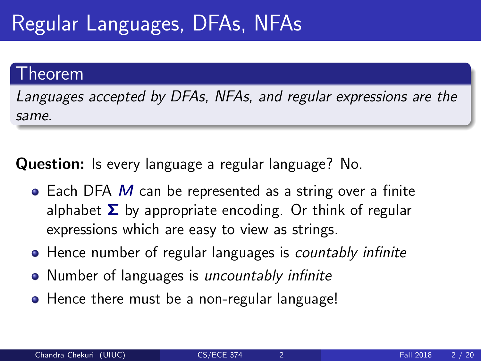#### .<br>heorem

Languages accepted by DFAs, NFAs, and regular expressions are the same.

- $\bullet$  Each DFA M can be represented as a string over a finite alphabet  $\Sigma$  by appropriate encoding. Or think of regular expressions which are easy to view as strings.
- Hence number of regular languages is countably infinite
- Number of languages is *uncountably infinite*
- Hence there must be a non-regular language!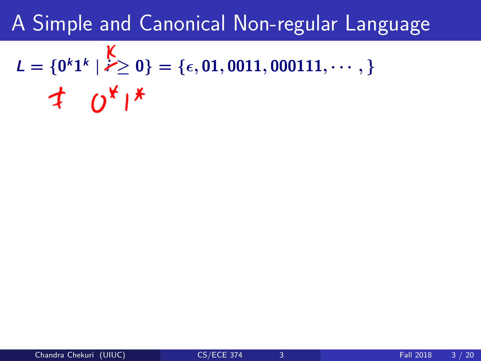# $L = \{0^k1^k \mid k \geq 0\} = \{\epsilon, 01, 0011, 000111, \cdots, \}$  $\pm 0^{x}$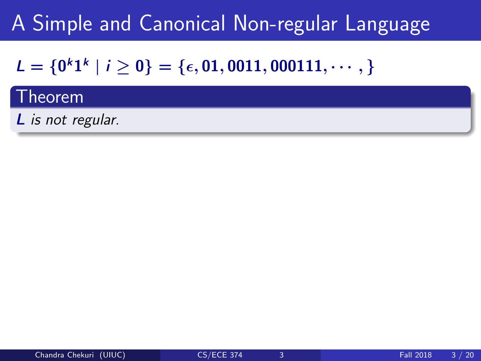### $L = \{0^k1^k \mid i \geq 0\} = \{\epsilon, 01, 0011, 000111, \cdots, \}$

#### Theorem

L is not regular.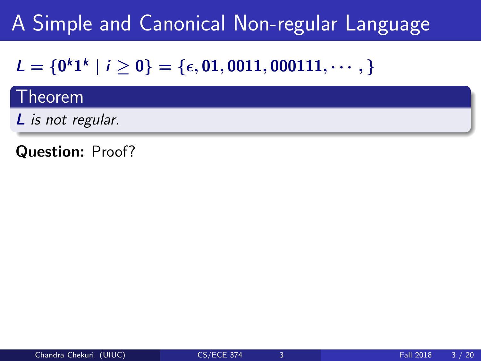### $L = \{0^k1^k \mid i \geq 0\} = \{\epsilon, 01, 0011, 000111, \cdots, \}$

#### Theorem

L is not regular.

Question: Proof?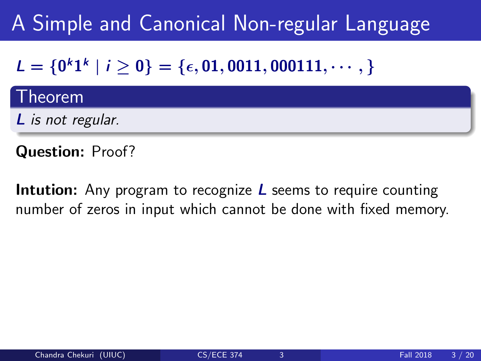### $L = \{0^k1^k \mid i \geq 0\} = \{\epsilon, 01, 0011, 000111, \cdots, \}$

#### Theorem

L is not regular.

Question: Proof?

**Intution:** Any program to recognize  *seems to require counting* number of zeros in input which cannot be done with fixed memory.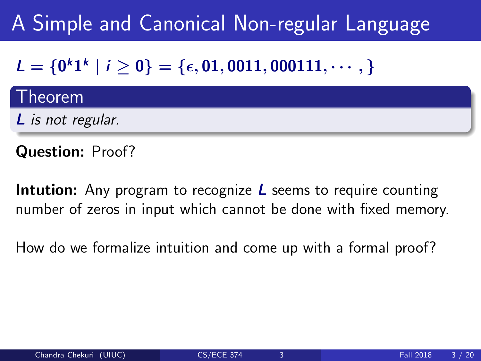### $L = \{0^k1^k \mid i \geq 0\} = \{\epsilon, 01, 0011, 000111, \cdots, \}$

#### **Theorem**

L is not regular.

Question: Proof?

**Intution:** Any program to recognize  $L$  seems to require counting number of zeros in input which cannot be done with fixed memory.

How do we formalize intuition and come up with a formal proof?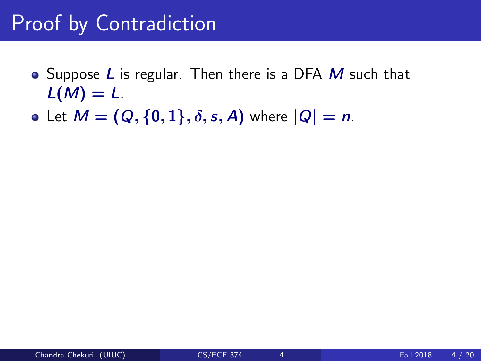- Suppose  $L$  is regular. Then there is a DFA  $M$  such that  $L(M) = L$ .
- Let  $M = (Q, \{0, 1\}, \delta, s, A)$  where  $|Q| = n$ .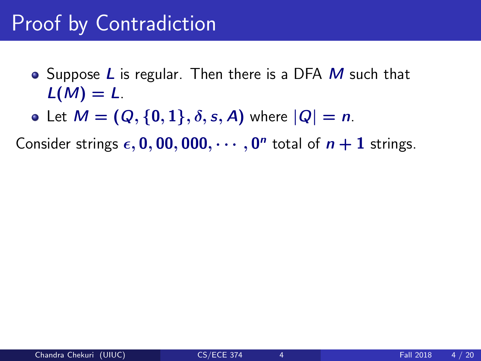- Suppose  $L$  is regular. Then there is a DFA  $M$  such that  $L(M) = L$ .
- Let  $M = (Q, \{0, 1\}, \delta, s, A)$  where  $|Q| = n$ .

Consider strings  $\epsilon$ , 0, 00, 000,  $\cdots$ , 0<sup>n</sup> total of  $n+1$  strings.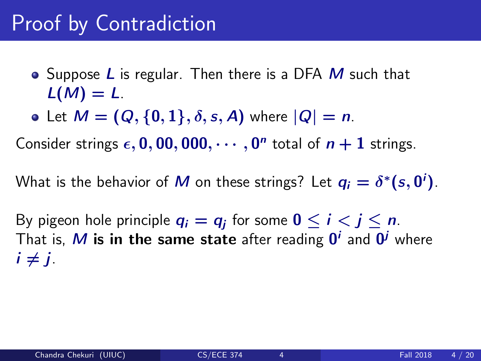- Suppose  $L$  is regular. Then there is a DFA  $M$  such that  $L(M) = L$ .
- Let  $M = (Q, \{0, 1\}, \delta, s, A)$  where  $|Q| = n$ .

Consider strings  $\epsilon$ , 0, 00, 000,  $\cdots$ , 0<sup>n</sup> total of  $n+1$  strings.

What is the behavior of  $M$  on these strings? Let  $q_i = \delta^*(s, \mathbf{0}^i)$ .

By pigeon hole principle  $q_i=q_j$  for some  $0\leq i< j\leq n.$ That is,  $M$  is in the same state after reading  $\boldsymbol{0}^i$  and  $\boldsymbol{0}^j$  where  $i \neq i$ .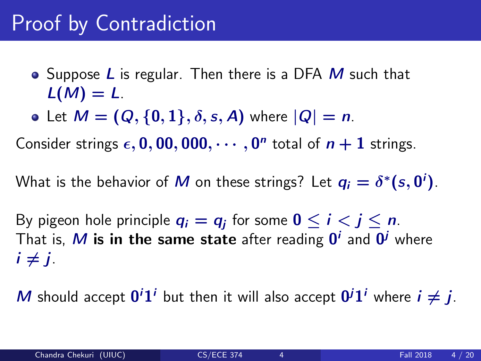- Suppose  $L$  is regular. Then there is a DFA  $M$  such that  $L(M) = L$ .
- Let  $M = (Q, \{0, 1\}, \delta, s, A)$  where  $|Q| = n$ .

Consider strings  $\epsilon$ , 0, 00, 000,  $\cdots$ , 0<sup>n</sup> total of  $n+1$  strings.

What is the behavior of  $M$  on these strings? Let  $q_i = \delta^*(s, \mathbf{0}^i)$ .

By pigeon hole principle  $q_i=q_j$  for some  $0\leq i< j\leq n.$ That is,  $M$  is in the same state after reading  $\boldsymbol{0}^i$  and  $\boldsymbol{0}^j$  where  $i \neq i$ .

M should accept  $0^i1^i$  but then it will also accept  $0^i1^i$  where  $i \neq j$ .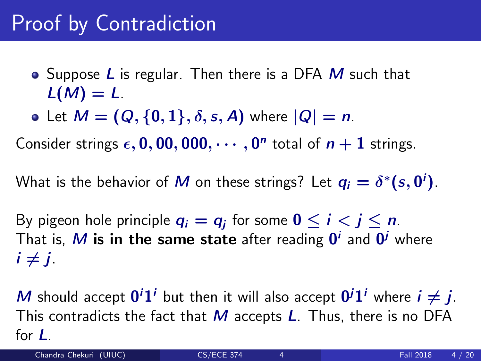- Suppose  $L$  is regular. Then there is a DFA  $M$  such that  $L(M) = L$ .
- Let  $M = (Q, \{0, 1\}, \delta, s, A)$  where  $|Q| = n$ .

Consider strings  $\epsilon$ , 0, 00, 000,  $\cdots$ , 0<sup>n</sup> total of  $n+1$  strings.

What is the behavior of  $M$  on these strings? Let  $q_i = \delta^*(s, \mathbf{0}^i)$ .

By pigeon hole principle  $q_i=q_j$  for some  $0\leq i< j\leq n.$ That is,  $M$  is in the same state after reading  $\boldsymbol{0}^i$  and  $\boldsymbol{0}^j$  where  $i \neq i$ .

M should accept  $0^i1^i$  but then it will also accept  $0^i1^i$  where  $i \neq j$ . This contradicts the fact that  $M$  accepts  $L$ . Thus, there is no DFA for L.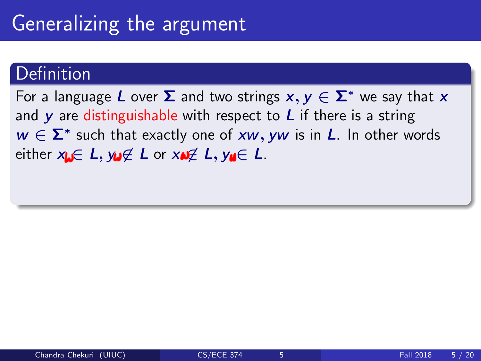For a language L over  $\Sigma$  and two strings  $x, y \in \Sigma^*$  we say that x and  $\bf{v}$  are distinguishable with respect to  $\bf{L}$  if there is a string  $w \in \Sigma^*$  such that exactly one of xw, yw is in L. In other words either  $x_k \in L$ ,  $y_k \notin L$  or  $x_k \notin L$ ,  $y_k \in L$ .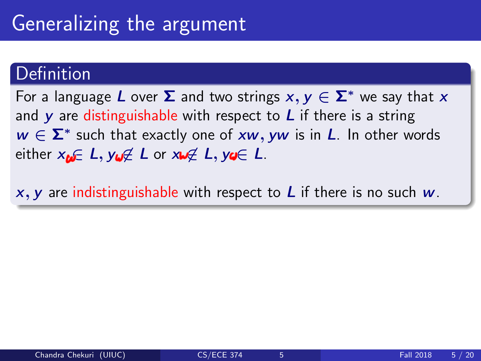For a language L over  $\Sigma$  and two strings  $x, y \in \Sigma^*$  we say that x and  $\bf{v}$  are distinguishable with respect to  $\bf{L}$  if there is a string  $w \in \Sigma^*$  such that exactly one of xw, yw is in L. In other words either  $x_{\omega} \in L$ ,  $y_{\omega} \notin L$  or  $x_{\omega} \notin L$ ,  $y_{\omega} \in L$ .

 $x, y$  are indistinguishable with respect to L if there is no such  $w$ .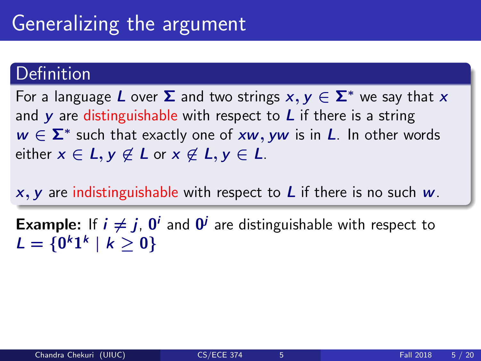For a language L over  $\Sigma$  and two strings  $x, y \in \Sigma^*$  we say that x and  $\bf{v}$  are distinguishable with respect to  $\bf{L}$  if there is a string  $w \in \Sigma^*$  such that exactly one of xw, yw is in L. In other words either  $x \in L$ ,  $y \notin L$  or  $x \notin L$ ,  $y \in L$ .

 $x, y$  are indistinguishable with respect to L if there is no such  $w$ .

**Example:** If  $i \neq j$ ,  $0^i$  and  $0^j$  are distinguishable with respect to  $L = \{0^k 1^k \mid k \geq 0\}$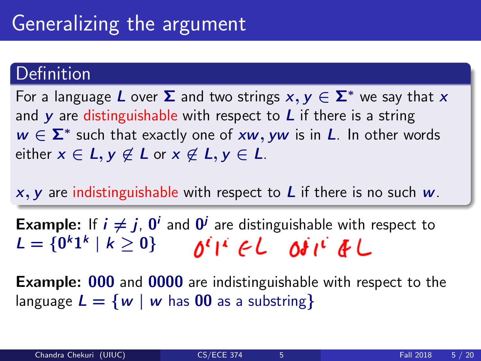For a language L over  $\Sigma$  and two strings  $x, y \in \Sigma^*$  we say that x and  $\bf{v}$  are distinguishable with respect to  $\bf{L}$  if there is a string  $w \in \Sigma^*$  such that exactly one of xw, yw is in L. In other words either  $x \in L$ ,  $y \notin L$  or  $x \notin L$ ,  $y \in L$ .

 $x, y$  are indistinguishable with respect to L if there is no such  $w$ .

**Example:** If  $i \neq j$ ,  $0^i$  and  $0^j$  are distinguishable with respect to  $L = \{0^k 1^k \mid k \geq 0\}$ 

**Example: 000** and 0000 are indistinguishable with respect to the language  $L = \{w \mid w \text{ has } 00 \text{ as a substring}\}\$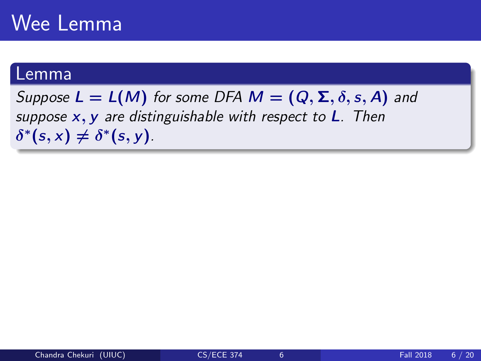### Wee Lemma

#### Lemma

Suppose  $L = L(M)$  for some DFA  $M = (Q, \Sigma, \delta, s, A)$  and suppose  $x, y$  are distinguishable with respect to  $L$ . Then  $\delta^*(s, x) \neq \delta^*(s, y)$ .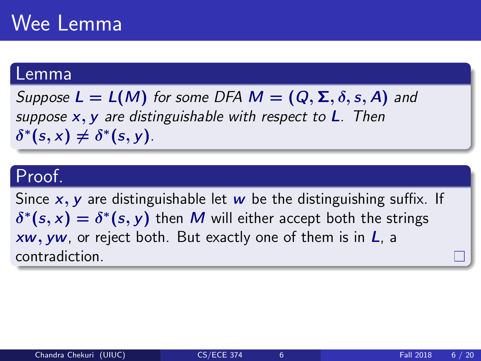### Wee Lemma

#### Lemma

Suppose  $L = L(M)$  for some DFA  $M = (Q, \Sigma, \delta, s, A)$  and suppose  $x, y$  are distinguishable with respect to  $L$ . Then  $\delta^*(s, x) \neq \delta^*(s, y)$ .

#### Proof.

Since  $x, y$  are distinguishable let w be the distinguishing suffix. If  $\delta^*(s, x) = \delta^*(s, y)$  then M will either accept both the strings  $xw$ , yw, or reject both. But exactly one of them is in  $L$ , a contradiction.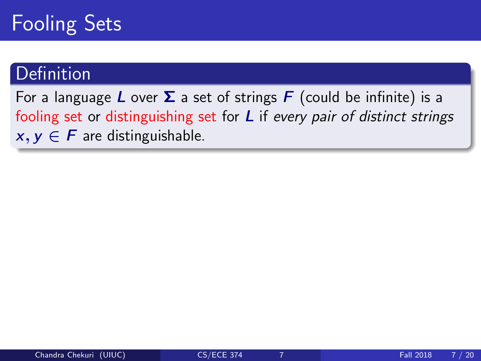### Fooling Sets

#### Definition

For a language L over  $\Sigma$  a set of strings F (could be infinite) is a fooling set or distinguishing set for L if every pair of distinct strings  $x, y \in F$  are distinguishable.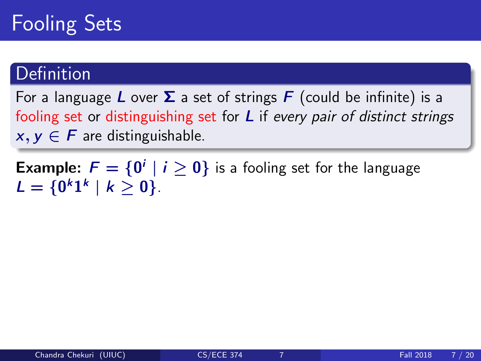### Fooling Sets

#### Definition

For a language L over  $\Sigma$  a set of strings F (could be infinite) is a fooling set or distinguishing set for  $L$  if every pair of distinct strings  $x, y \in F$  are distinguishable.

**Example:**  $F = \{0^i \mid i \ge 0\}$  is a fooling set for the language  $L = \{0^k 1^k \mid k \geq 0\}.$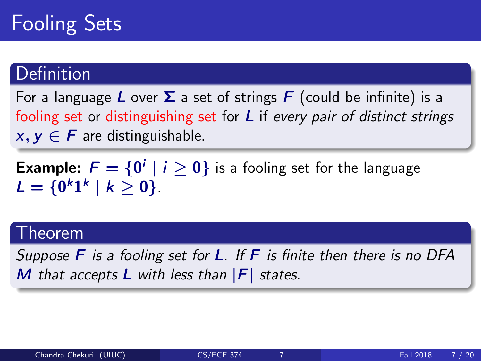For a language L over  $\Sigma$  a set of strings F (could be infinite) is a fooling set or distinguishing set for  $L$  if every pair of distinct strings  $x, y \in F$  are distinguishable.

**Example:**  $F = \{0^i \mid i \ge 0\}$  is a fooling set for the language  $L = \{0^k 1^k \mid k \geq 0\}.$ 

#### Theorem

Suppose  $\overline{F}$  is a fooling set for **L**. If  $\overline{F}$  is finite then there is no DFA M that accepts  $L$  with less than  $|F|$  states.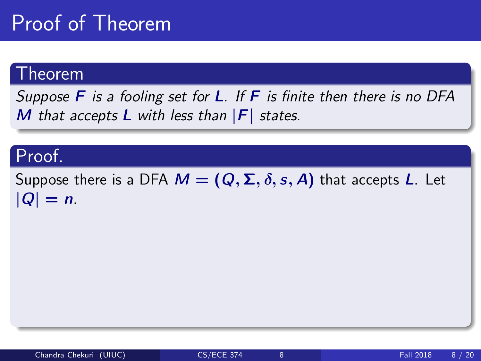### Proof of Theorem

#### Theorem

Suppose  $\overline{F}$  is a fooling set for **L**. If  $\overline{F}$  is finite then there is no DFA M that accepts  $L$  with less than  $|F|$  states.

#### Proof.

Suppose there is a DFA  $M = (Q, \Sigma, \delta, s, A)$  that accepts L. Let  $|Q| = n$ .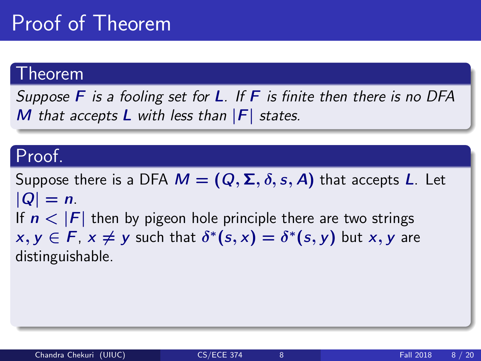### Proof of Theorem

#### Theorem

Suppose  $\overline{F}$  is a fooling set for **L**. If  $\overline{F}$  is finite then there is no DFA M that accepts  $L$  with less than  $|F|$  states.

#### Proof.

Suppose there is a DFA  $M = (Q, \Sigma, \delta, s, A)$  that accepts L. Let  $|Q| = n$ . If  $n < |F|$  then by pigeon hole principle there are two strings  $x, y \in F$ ,  $x \neq y$  such that  $\delta^*(s, x) = \delta^*(s, y)$  but  $x, y$  are distinguishable.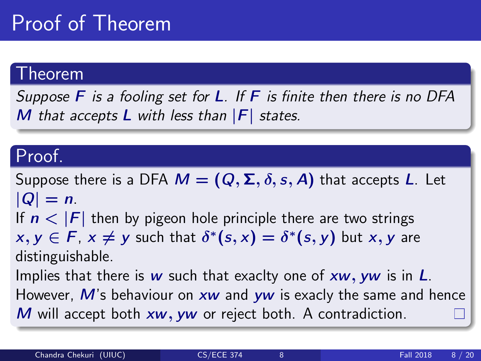### Proof of Theorem

#### Theorem

Suppose  $\overline{F}$  is a fooling set for **L**. If  $\overline{F}$  is finite then there is no DFA M that accepts  $L$  with less than  $|F|$  states.

#### Proof.

Suppose there is a DFA  $M = (Q, \Sigma, \delta, s, A)$  that accepts L. Let  $|Q| = n$ .

If  $n < |F|$  then by pigeon hole principle there are two strings

 $x, y \in F$ ,  $x \neq y$  such that  $\delta^*(s, x) = \delta^*(s, y)$  but  $x, y$  are distinguishable.

Implies that there is w such that exaclty one of  $xw$ , yw is in  $L$ . However,  $M$ 's behaviour on  $xw$  and  $yw$  is exacly the same and hence  $M$  will accept both  $xw$ ,  $yw$  or reject both. A contradiction.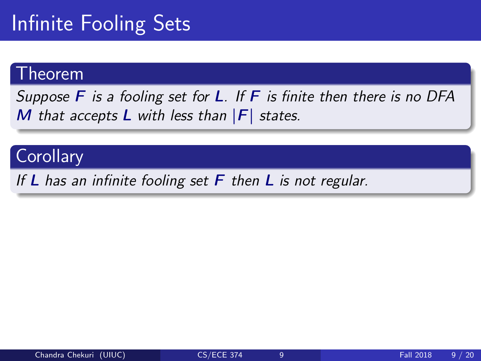### Infinite Fooling Sets

#### Theorem

Suppose  $\overline{F}$  is a fooling set for **L**. If  $\overline{F}$  is finite then there is no DFA M that accepts  $L$  with less than  $|F|$  states.

#### **Corollary**

If L has an infinite fooling set  $F$  then L is not regular.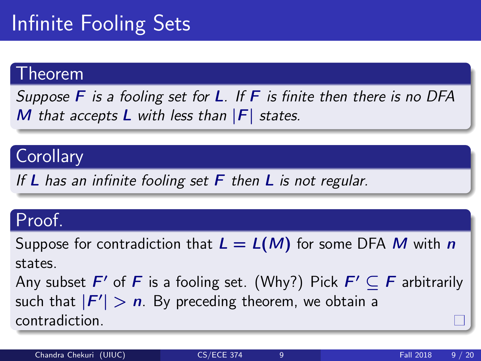## Infinite Fooling Sets

#### Theorem

Suppose  $\overline{F}$  is a fooling set for **L**. If  $\overline{F}$  is finite then there is no DFA M that accepts  $L$  with less than  $|F|$  states.

#### **Corollary**

If L has an infinite fooling set  $F$  then L is not regular.

#### Proof.

Suppose for contradiction that  $L = L(M)$  for some DFA M with n states.

Any subset  $F'$  of  $F$  is a fooling set. (Why?) Pick  $F' \subseteq F$  arbitrarily such that  $|F'| > n$ . By preceding theorem, we obtain a contradiction.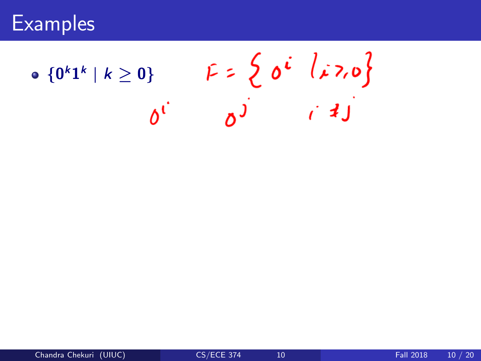$F = \begin{cases} 0^i & l \neq 7, 0 \\ 0 & i \neq j \end{cases}$  ${0^k1^k | k \geq 0}$  $\delta^{\mathfrak{c}}$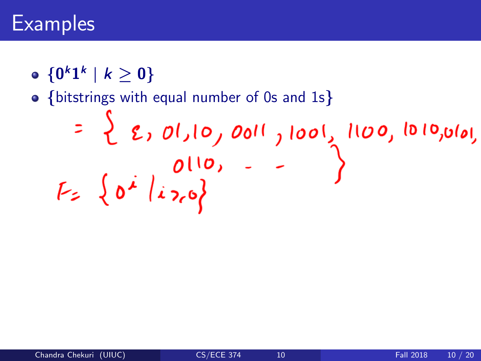${0^k1^k | k \geq 0}$ 

• {bitstrings with equal number of 0s and 1s}<br>
= {  $\zeta$ ,  $\frac{\partial I}{\partial \rho}$ ,  $\frac{\partial \theta}{\partial \rho}$ ,  $\frac{\partial \theta}{\partial \rho}$ ,  $\frac{\partial I}{\partial \rho}$ ,  $\zeta$ ,  $\zeta$   $\zeta$   $\zeta$   $\zeta$   $\zeta$   $\zeta$   $\zeta$   $\zeta$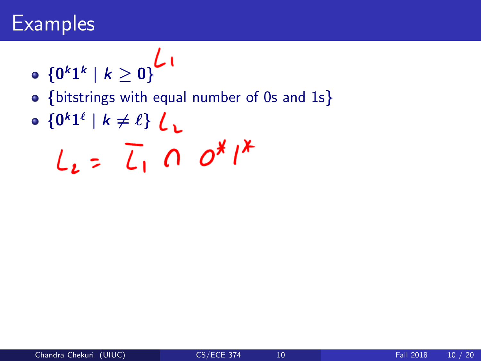$$
\bullet \ \left\{0^k1^k \mid k\geq 0\right\}^{\mathcal{L}}
$$

- {bitstrings with equal number of 0s and 1s}
- $\{0^k1^{\ell} \mid k \neq \ell\}$

$$
L_{2} = \overline{L}_{1} \cap o^{*}/^{*}
$$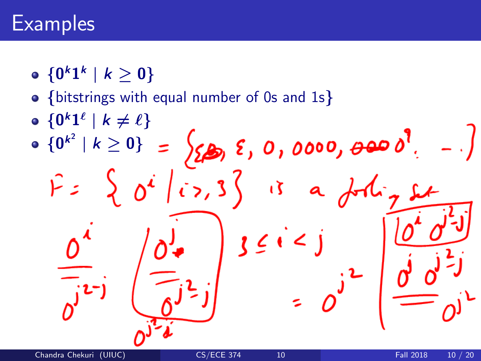${0^k1^k | k \geq 0}$ 

- {bitstrings with equal number of 0s and 1s}
- $\{0^k1^{\ell} \mid k \neq \ell\}$

 $\int_{\mathbb{Z}}$  ,  $\int_{\mathbb{Z}}$  ,  $\int_{\mathbb{Z}}$  ,  $\int_{\mathbb{Z}}$  ,  $\int_{\mathbb{Z}}$  ,  $\int_{\mathbb{Z}}$  ,  $\int_{\mathbb{Z}}$  ,  $\int_{\mathbb{Z}}$  ${0^{k^2} | k \geq 0}$  $0<sup>i</sup>$   $\left\{ i$ ,  $3\right\}$  is a  $\iota$   $\zeta$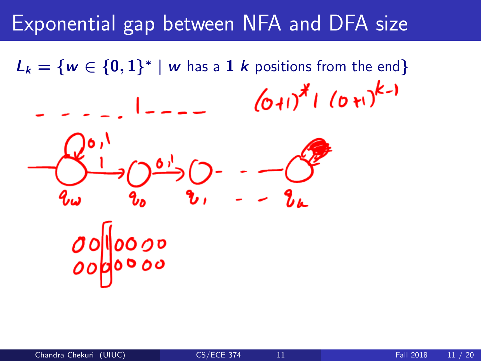$L_k = \{w \in \{0,1\}^* \mid w \text{ has a } 1 \text{ } k \text{ positions from the end}\}\$  $(0+1)^{*}$   $(0+1)^{k-1}$ **Contract Contract**  $\mathbf{v}$ ,  $\mathcal{L}_{\mu}$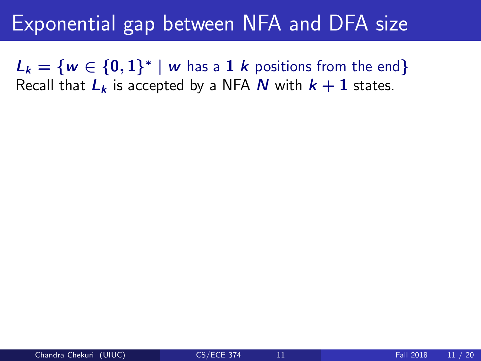$L_k = \{w \in \{0,1\}^* \mid w \text{ has a } 1 \text{ } k \text{ positions from the end}\}\$ Recall that  $L_k$  is accepted by a NFA N with  $k + 1$  states.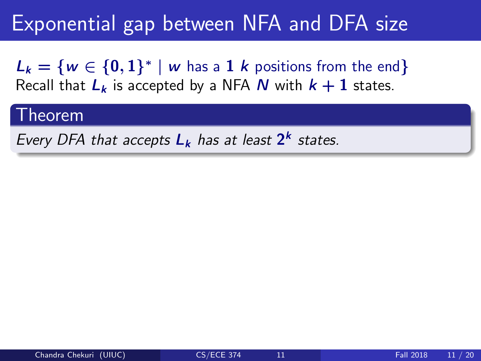$L_k = \{w \in \{0,1\}^* \mid w \text{ has a } 1 \text{ } k \text{ positions from the end}\}\$ Recall that  $L_k$  is accepted by a NFA N with  $k + 1$  states.

#### Theorem

Every DFA that accepts  $L_k$  has at least  $2^k$  states.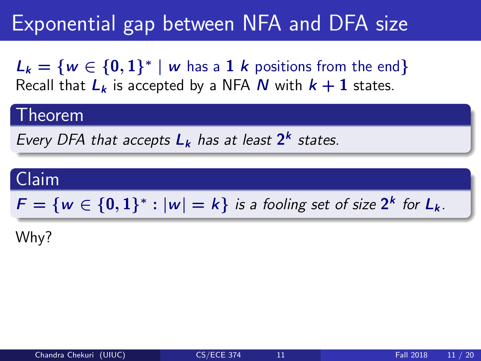$L_k = \{w \in \{0,1\}^* \mid w \text{ has a } 1 \text{ } k \text{ positions from the end}\}\$ Recall that  $L_k$  is accepted by a NFA N with  $k + 1$  states.

#### Theorem

Every DFA that accepts  $L_k$  has at least  $2^k$  states.

### Claim  $F = \{w \in \{0,1\}^* : |w| = k\}$  is a fooling set of size  $2^k$  for  $L_k$ .

Why?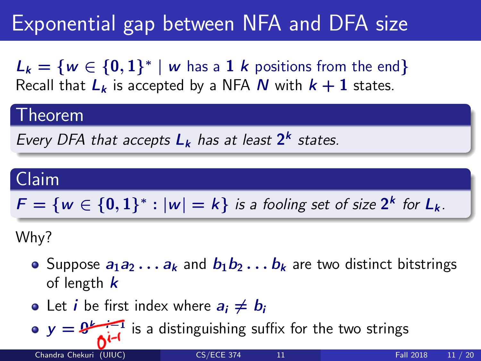$L_k = \{w \in \{0,1\}^* \mid w \text{ has a } 1 \text{ } k \text{ positions from the end}\}\$ Recall that  $L_k$  is accepted by a NFA N with  $k + 1$  states.

#### Theorem

Every DFA that accepts  $L_k$  has at least  $2^k$  states.

#### Claim

 $F = \{w \in \{0,1\}^* : |w| = k\}$  is a fooling set of size  $2^k$  for  $L_k$ .

Why?

- Suppose  $a_1a_2 \ldots a_k$  and  $b_1b_2 \ldots b_k$  are two distinct bitstrings of length  $k$
- Let *i* be first index where  $a_i \neq b_i$

 $y = 0$  is a distinguishing suffix for the two strings

Chandra Chekuri (UIUC) [CS/ECE 374](#page-0-0) 11 Fall 2018 11 / 20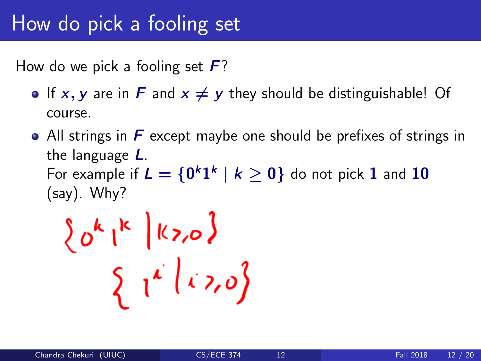How do we pick a fooling set  $\bm{F}$ ?

- If x, y are in F and  $x \neq y$  they should be distinguishable! Of course.
- All strings in  $\bm{F}$  except maybe one should be prefixes of strings in the language L. For example if  $L = \{0^k1^k \mid k \geq 0\}$  do not pick  $1$  and  $10$ (say). Why?

 $\left\{0^{k}\right|^{k}$   $\left|\frac{k}{20}\right\rangle$  $\int_0^1 i(x,0) dx$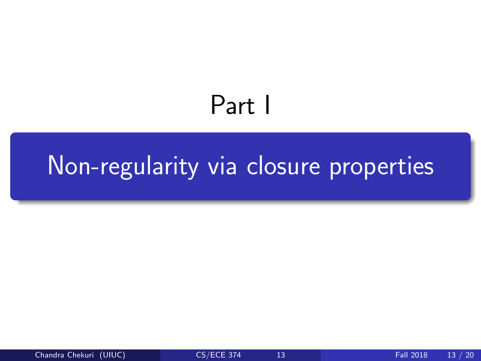# Part I

# <span id="page-41-0"></span>[Non-regularity via closure properties](#page-41-0)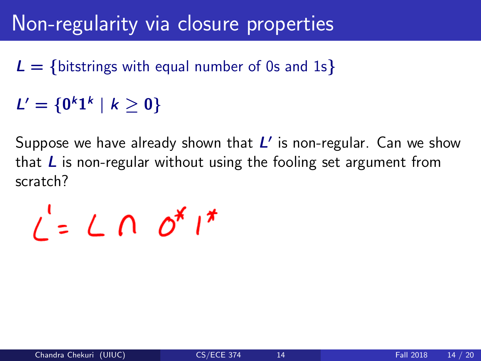- $L = \{$  bitstrings with equal number of 0s and 1s }
- $L' = \{0^k 1^k \mid k \geq 0\}$

Suppose we have already shown that  $L'$  is non-regular. Can we show that  $\bf{L}$  is non-regular without using the fooling set argument from scratch?

 $i' = L \cap \mathcal{O}^{\mathcal{X}} i^{\mathcal{X}}$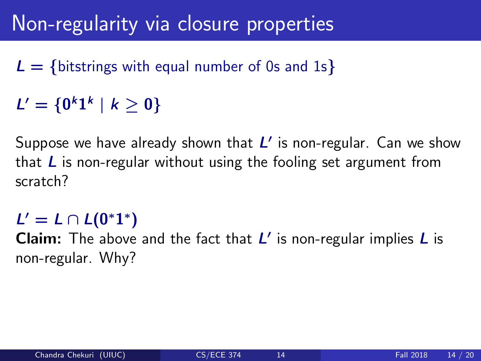- $L = \{$  bitstrings with equal number of 0s and 1s }
- $L' = \{0^k 1^k \mid k \geq 0\}$

Suppose we have already shown that  $L'$  is non-regular. Can we show that  $\bf{L}$  is non-regular without using the fooling set argument from scratch?

### $L' = L \cap L(0^*1^*)$

Claim: The above and the fact that  $L'$  is non-regular implies  $L$  is non-regular. Why?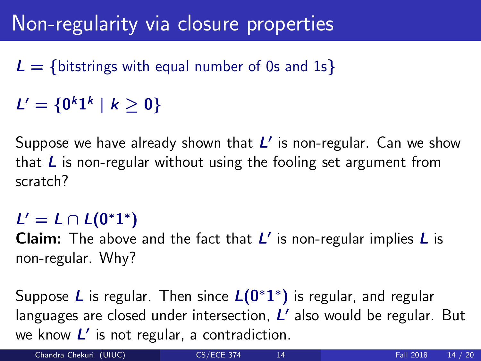- $L = \{$  bitstrings with equal number of 0s and 1s }
- $L' = \{0^k 1^k \mid k \geq 0\}$

Suppose we have already shown that  $L'$  is non-regular. Can we show that  $\bf{L}$  is non-regular without using the fooling set argument from scratch?

### $L' = L \cap L(0^*1^*)$

Claim: The above and the fact that  $L'$  is non-regular implies  $L$  is non-regular. Why?

Suppose L is regular. Then since  $L(0^*1^*)$  is regular, and regular languages are closed under intersection,  $L'$  also would be regular. But we know  $L'$  is not regular, a contradiction.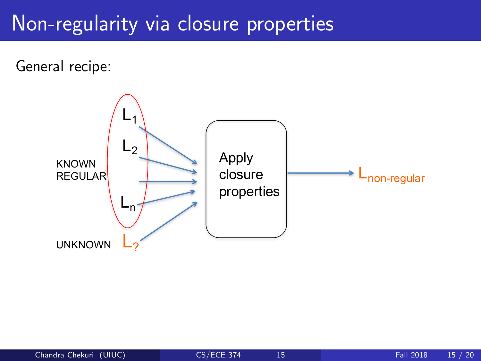General recipe:

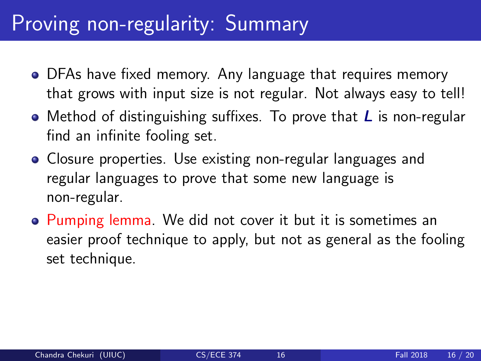### Proving non-regularity: Summary

- DFAs have fixed memory. Any language that requires memory that grows with input size is not regular. Not always easy to tell!
- Method of distinguishing suffixes. To prove that  *is non-regular* find an infinite fooling set.
- Closure properties. Use existing non-regular languages and regular languages to prove that some new language is non-regular.
- Pumping lemma. We did not cover it but it is sometimes an easier proof technique to apply, but not as general as the fooling set technique.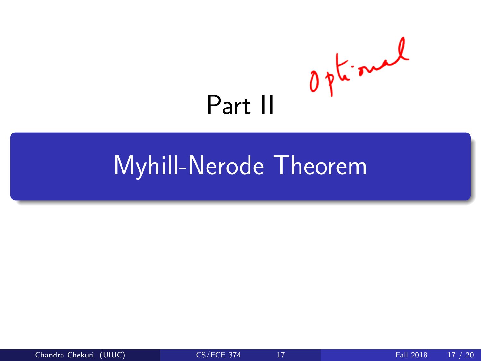<span id="page-47-0"></span>

# [Myhill-Nerode Theorem](#page-47-0)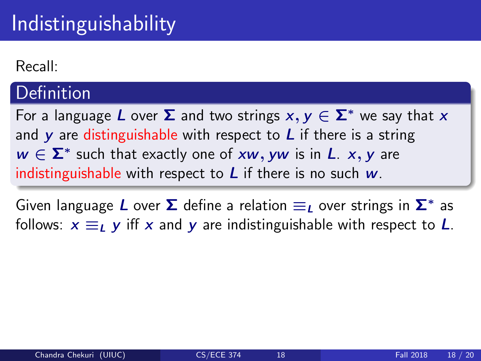Recall:

#### **Definition**

For a language L over  $\Sigma$  and two strings  $x, y \in \Sigma^*$  we say that x and y are distinguishable with respect to  $L$  if there is a string  $w \in \Sigma^*$  such that exactly one of xw, yw is in L. x, y are indistinguishable with respect to  $L$  if there is no such  $w$ .

Given language  $\boldsymbol{L}$  over  $\boldsymbol{\Sigma}$  define a relation  $\equiv_{\boldsymbol{L}}$  over strings in  $\boldsymbol{\Sigma}^*$  as follows:  $x \equiv_L y$  iff x and y are indistinguishable with respect to L.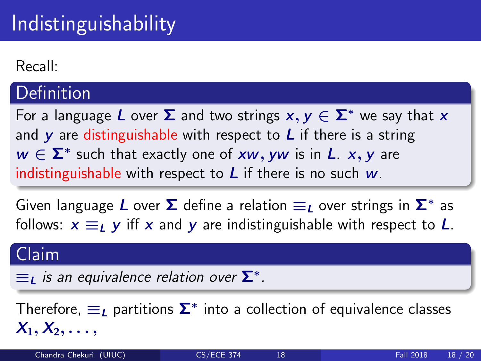Recall:

#### **Definition**

For a language L over  $\Sigma$  and two strings  $x, y \in \Sigma^*$  we say that x and y are distinguishable with respect to  $L$  if there is a string  $w \in \Sigma^*$  such that exactly one of xw, yw is in L. x, y are indistinguishable with respect to  $L$  if there is no such  $w$ .

Given language  $\boldsymbol{L}$  over  $\boldsymbol{\Sigma}$  define a relation  $\equiv_{\boldsymbol{L}}$  over strings in  $\boldsymbol{\Sigma}^*$  as follows:  $x \equiv_L y$  iff x and y are indistinguishable with respect to L.

#### Claim

 $\equiv_{\text{L}}$  is an equivalence relation over  $\mathbf{\Sigma}^*$ .

Therefore,  $\equiv_L$  partitions  $\boldsymbol{\Sigma}^*$  into a collection of equivalence classes  $X_1, X_2, \ldots$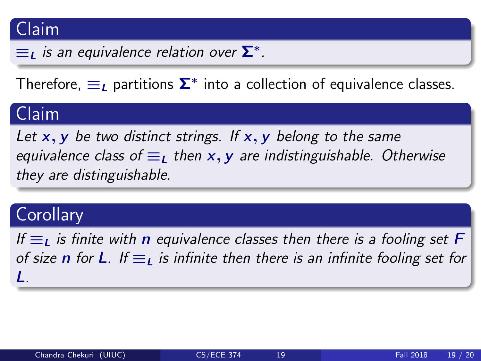#### Claim

 $\equiv_{\text{L}}$  is an equivalence relation over  $\mathbf{\Sigma}^*$ .

Therefore,  $\equiv_{\textit{L}}$  partitions  $\bm{\Sigma}^*$  into a collection of equivalence classes.

### Claim

Let  $x, y$  be two distinct strings. If  $x, y$  belong to the same equivalence class of  $\equiv_{\text{L}}$  then x, y are indistinguishable. Otherwise they are distinguishable.

#### **Corollary**

If  $\equiv$ <sub>L</sub> is finite with **n** equivalence classes then there is a fooling set **F** of size **n** for **L**. If  $\equiv$ <sub>L</sub> is infinite then there is an infinite fooling set for L.